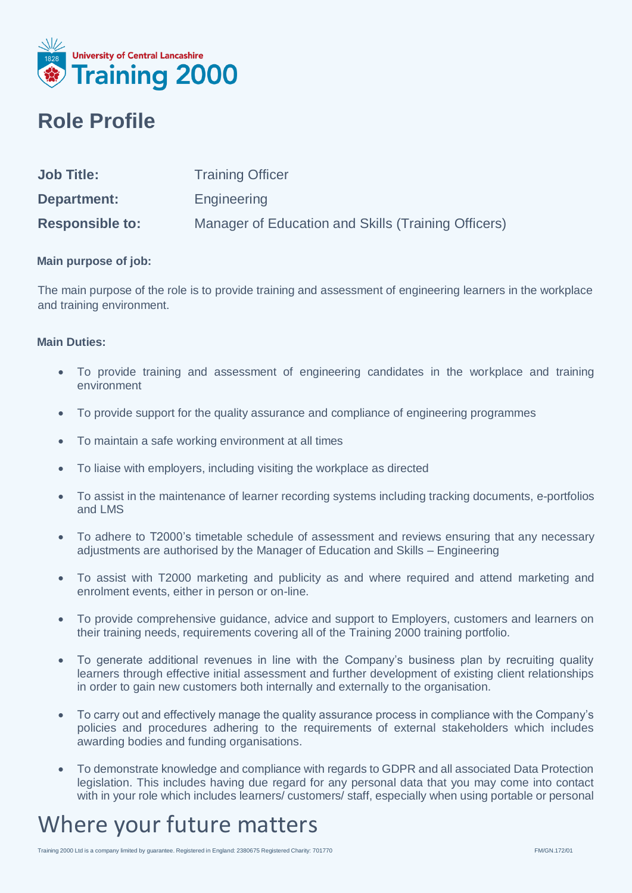

### **Role Profile**

| <b>Job Title:</b>      | <b>Training Officer</b>                             |
|------------------------|-----------------------------------------------------|
| Department:            | Engineering                                         |
| <b>Responsible to:</b> | Manager of Education and Skills (Training Officers) |

#### **Main purpose of job:**

The main purpose of the role is to provide training and assessment of engineering learners in the workplace and training environment.

#### **Main Duties:**

- To provide training and assessment of engineering candidates in the workplace and training environment
- To provide support for the quality assurance and compliance of engineering programmes
- To maintain a safe working environment at all times
- To liaise with employers, including visiting the workplace as directed
- To assist in the maintenance of learner recording systems including tracking documents, e-portfolios and LMS
- To adhere to T2000's timetable schedule of assessment and reviews ensuring that any necessary adjustments are authorised by the Manager of Education and Skills – Engineering
- To assist with T2000 marketing and publicity as and where required and attend marketing and enrolment events, either in person or on-line.
- To provide comprehensive guidance, advice and support to Employers, customers and learners on their training needs, requirements covering all of the Training 2000 training portfolio.
- To generate additional revenues in line with the Company's business plan by recruiting quality learners through effective initial assessment and further development of existing client relationships in order to gain new customers both internally and externally to the organisation.
- To carry out and effectively manage the quality assurance process in compliance with the Company's policies and procedures adhering to the requirements of external stakeholders which includes awarding bodies and funding organisations.
- To demonstrate knowledge and compliance with regards to GDPR and all associated Data Protection legislation. This includes having due regard for any personal data that you may come into contact with in your role which includes learners/ customers/ staff, especially when using portable or personal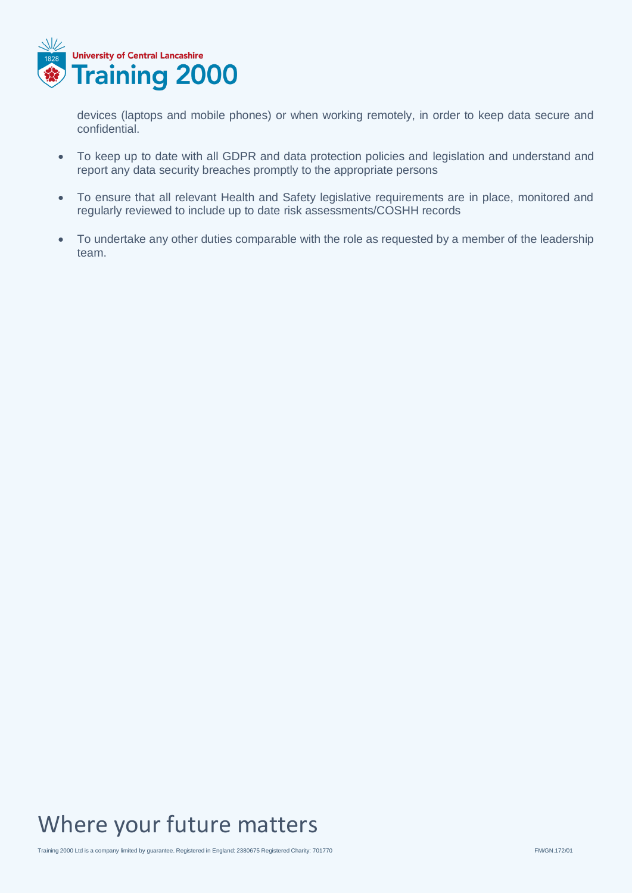

devices (laptops and mobile phones) or when working remotely, in order to keep data secure and confidential.

- To keep up to date with all GDPR and data protection policies and legislation and understand and report any data security breaches promptly to the appropriate persons
- To ensure that all relevant Health and Safety legislative requirements are in place, monitored and regularly reviewed to include up to date risk assessments/COSHH records
- To undertake any other duties comparable with the role as requested by a member of the leadership team.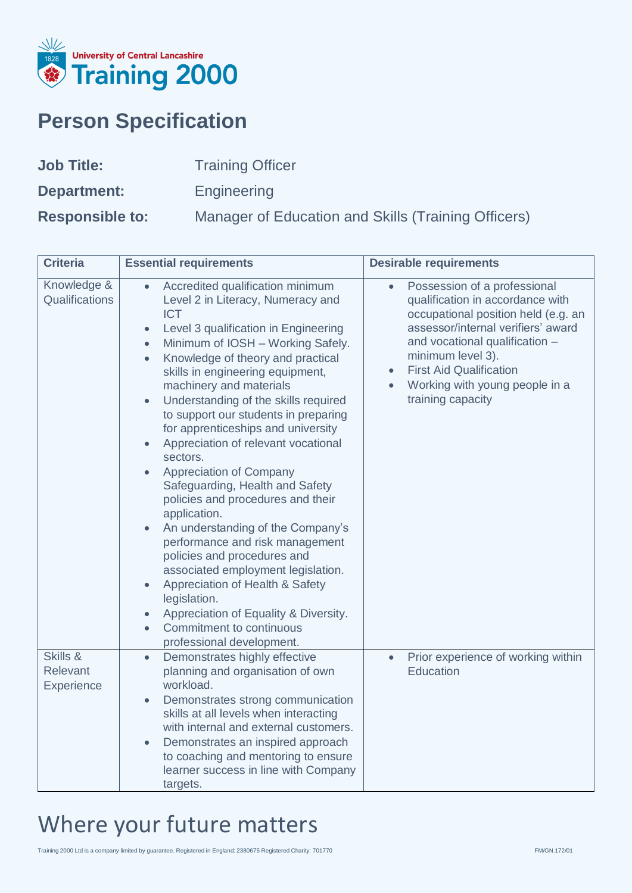

## **Person Specification**

| <b>Job Title:</b>      | <b>Training Officer</b>                             |
|------------------------|-----------------------------------------------------|
| Department:            | Engineering                                         |
| <b>Responsible to:</b> | Manager of Education and Skills (Training Officers) |

| <b>Criteria</b>                    | <b>Essential requirements</b>                                                                                                                                                                                                                                                                                                                                                                                                                                                                                                                                                                                                                                                                                                                                                                                                                                                                                                                    | <b>Desirable requirements</b>                                                                                                                                                                                                                                                                                           |
|------------------------------------|--------------------------------------------------------------------------------------------------------------------------------------------------------------------------------------------------------------------------------------------------------------------------------------------------------------------------------------------------------------------------------------------------------------------------------------------------------------------------------------------------------------------------------------------------------------------------------------------------------------------------------------------------------------------------------------------------------------------------------------------------------------------------------------------------------------------------------------------------------------------------------------------------------------------------------------------------|-------------------------------------------------------------------------------------------------------------------------------------------------------------------------------------------------------------------------------------------------------------------------------------------------------------------------|
| Knowledge &<br>Qualifications      | Accredited qualification minimum<br>$\bullet$<br>Level 2 in Literacy, Numeracy and<br><b>ICT</b><br>Level 3 qualification in Engineering<br>$\bullet$<br>Minimum of IOSH - Working Safely.<br>$\bullet$<br>Knowledge of theory and practical<br>$\bullet$<br>skills in engineering equipment,<br>machinery and materials<br>Understanding of the skills required<br>$\bullet$<br>to support our students in preparing<br>for apprenticeships and university<br>Appreciation of relevant vocational<br>sectors.<br>Appreciation of Company<br>Safeguarding, Health and Safety<br>policies and procedures and their<br>application.<br>An understanding of the Company's<br>performance and risk management<br>policies and procedures and<br>associated employment legislation.<br>Appreciation of Health & Safety<br>legislation.<br>Appreciation of Equality & Diversity.<br>Commitment to continuous<br>$\bullet$<br>professional development. | Possession of a professional<br>$\bullet$<br>qualification in accordance with<br>occupational position held (e.g. an<br>assessor/internal verifiers' award<br>and vocational qualification -<br>minimum level 3).<br><b>First Aid Qualification</b><br>$\bullet$<br>Working with young people in a<br>training capacity |
| Skills &<br>Relevant<br>Experience | Demonstrates highly effective<br>$\bullet$<br>planning and organisation of own<br>workload.<br>Demonstrates strong communication<br>$\bullet$<br>skills at all levels when interacting<br>with internal and external customers.<br>Demonstrates an inspired approach<br>to coaching and mentoring to ensure<br>learner success in line with Company<br>targets.                                                                                                                                                                                                                                                                                                                                                                                                                                                                                                                                                                                  | Prior experience of working within<br>$\bullet$<br>Education                                                                                                                                                                                                                                                            |